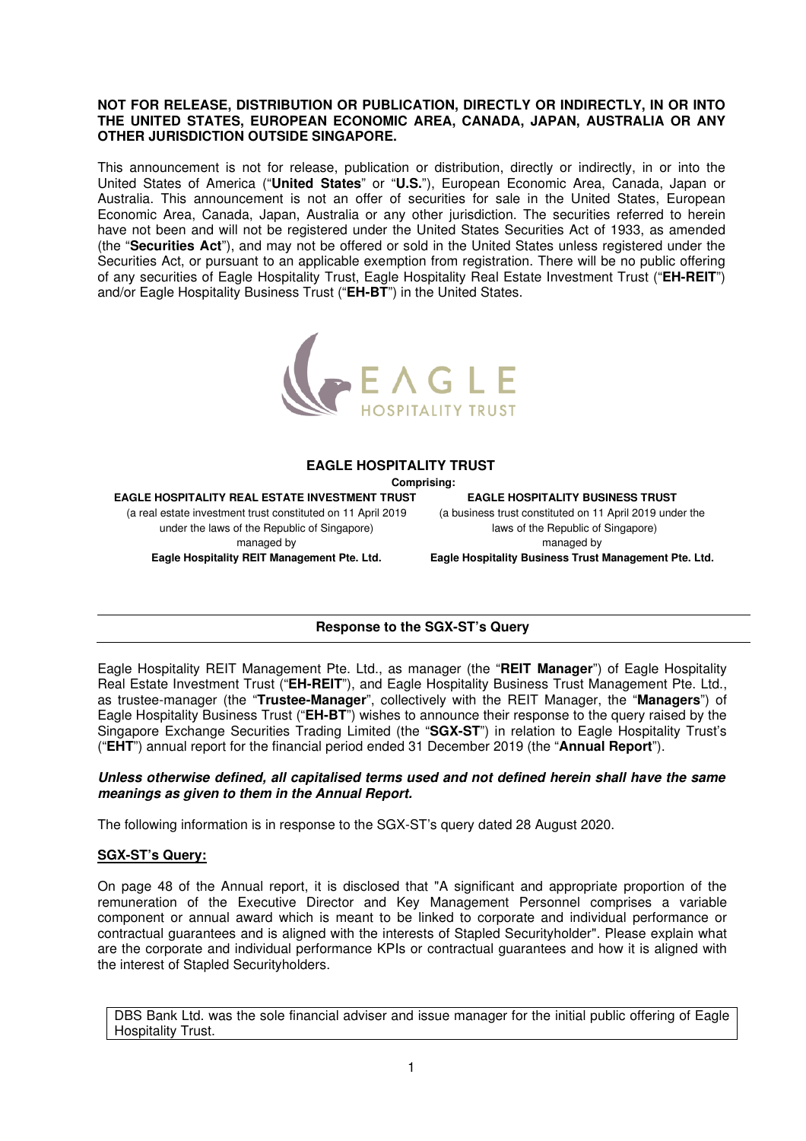### **NOT FOR RELEASE, DISTRIBUTION OR PUBLICATION, DIRECTLY OR INDIRECTLY, IN OR INTO THE UNITED STATES, EUROPEAN ECONOMIC AREA, CANADA, JAPAN, AUSTRALIA OR ANY OTHER JURISDICTION OUTSIDE SINGAPORE.**

This announcement is not for release, publication or distribution, directly or indirectly, in or into the United States of America ("**United States**" or "**U.S.**"), European Economic Area, Canada, Japan or Australia. This announcement is not an offer of securities for sale in the United States, European Economic Area, Canada, Japan, Australia or any other jurisdiction. The securities referred to herein have not been and will not be registered under the United States Securities Act of 1933, as amended (the "**Securities Act**"), and may not be offered or sold in the United States unless registered under the Securities Act, or pursuant to an applicable exemption from registration. There will be no public offering of any securities of Eagle Hospitality Trust, Eagle Hospitality Real Estate Investment Trust ("**EH-REIT**") and/or Eagle Hospitality Business Trust ("**EH-BT**") in the United States.



### **EAGLE HOSPITALITY TRUST**

 **Comprising:** 

**EAGLE HOSPITALITY REAL ESTATE INVESTMENT TRUST**  (a real estate investment trust constituted on 11 April 2019 under the laws of the Republic of Singapore) managed by

**EAGLE HOSPITALITY BUSINESS TRUST** 

(a business trust constituted on 11 April 2019 under the laws of the Republic of Singapore) managed by

**Eagle Hospitality REIT Management Pte. Ltd.** 

**Eagle Hospitality Business Trust Management Pte. Ltd.**

# **Response to the SGX-ST's Query**

Eagle Hospitality REIT Management Pte. Ltd., as manager (the "**REIT Manager**") of Eagle Hospitality Real Estate Investment Trust ("**EH-REIT**"), and Eagle Hospitality Business Trust Management Pte. Ltd., as trustee-manager (the "**Trustee-Manager**", collectively with the REIT Manager, the "**Managers**") of Eagle Hospitality Business Trust ("**EH-BT**") wishes to announce their response to the query raised by the Singapore Exchange Securities Trading Limited (the "**SGX-ST**") in relation to Eagle Hospitality Trust's ("**EHT**") annual report for the financial period ended 31 December 2019 (the "**Annual Report**").

## **Unless otherwise defined, all capitalised terms used and not defined herein shall have the same meanings as given to them in the Annual Report.**

The following information is in response to the SGX-ST's query dated 28 August 2020.

## **SGX-ST's Query:**

On page 48 of the Annual report, it is disclosed that "A significant and appropriate proportion of the remuneration of the Executive Director and Key Management Personnel comprises a variable component or annual award which is meant to be linked to corporate and individual performance or contractual guarantees and is aligned with the interests of Stapled Securityholder". Please explain what are the corporate and individual performance KPIs or contractual guarantees and how it is aligned with the interest of Stapled Securityholders.

DBS Bank Ltd. was the sole financial adviser and issue manager for the initial public offering of Eagle Hospitality Trust.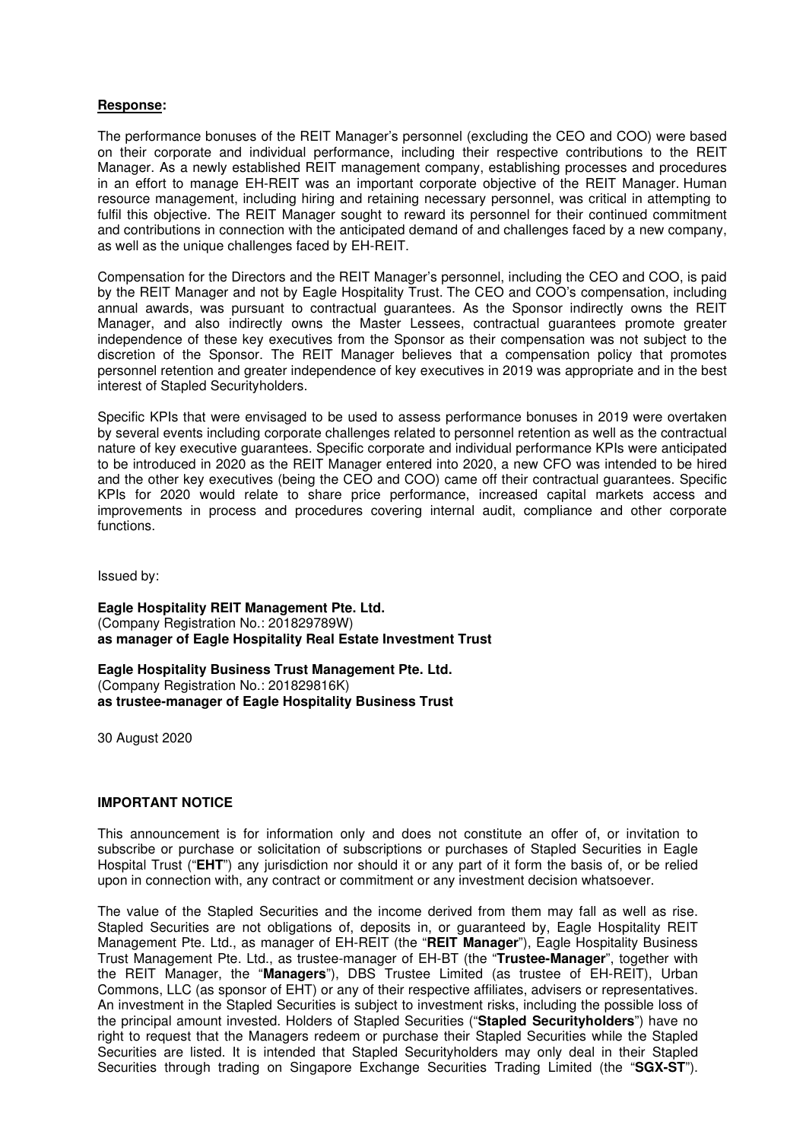## **Response:**

The performance bonuses of the REIT Manager's personnel (excluding the CEO and COO) were based on their corporate and individual performance, including their respective contributions to the REIT Manager. As a newly established REIT management company, establishing processes and procedures in an effort to manage EH-REIT was an important corporate objective of the REIT Manager. Human resource management, including hiring and retaining necessary personnel, was critical in attempting to fulfil this objective. The REIT Manager sought to reward its personnel for their continued commitment and contributions in connection with the anticipated demand of and challenges faced by a new company, as well as the unique challenges faced by EH-REIT.

Compensation for the Directors and the REIT Manager's personnel, including the CEO and COO, is paid by the REIT Manager and not by Eagle Hospitality Trust. The CEO and COO's compensation, including annual awards, was pursuant to contractual guarantees. As the Sponsor indirectly owns the REIT Manager, and also indirectly owns the Master Lessees, contractual guarantees promote greater independence of these key executives from the Sponsor as their compensation was not subject to the discretion of the Sponsor. The REIT Manager believes that a compensation policy that promotes personnel retention and greater independence of key executives in 2019 was appropriate and in the best interest of Stapled Securityholders.

Specific KPIs that were envisaged to be used to assess performance bonuses in 2019 were overtaken by several events including corporate challenges related to personnel retention as well as the contractual nature of key executive guarantees. Specific corporate and individual performance KPIs were anticipated to be introduced in 2020 as the REIT Manager entered into 2020, a new CFO was intended to be hired and the other key executives (being the CEO and COO) came off their contractual guarantees. Specific KPIs for 2020 would relate to share price performance, increased capital markets access and improvements in process and procedures covering internal audit, compliance and other corporate functions.

Issued by:

**Eagle Hospitality REIT Management Pte. Ltd.**  (Company Registration No.: 201829789W) **as manager of Eagle Hospitality Real Estate Investment Trust** 

**Eagle Hospitality Business Trust Management Pte. Ltd.**  (Company Registration No.: 201829816K) **as trustee-manager of Eagle Hospitality Business Trust** 

30 August 2020

### **IMPORTANT NOTICE**

This announcement is for information only and does not constitute an offer of, or invitation to subscribe or purchase or solicitation of subscriptions or purchases of Stapled Securities in Eagle Hospital Trust ("**EHT**") any jurisdiction nor should it or any part of it form the basis of, or be relied upon in connection with, any contract or commitment or any investment decision whatsoever.

The value of the Stapled Securities and the income derived from them may fall as well as rise. Stapled Securities are not obligations of, deposits in, or guaranteed by, Eagle Hospitality REIT Management Pte. Ltd., as manager of EH-REIT (the "**REIT Manager**"), Eagle Hospitality Business Trust Management Pte. Ltd., as trustee-manager of EH-BT (the "**Trustee-Manager**", together with the REIT Manager, the "**Managers**"), DBS Trustee Limited (as trustee of EH-REIT), Urban Commons, LLC (as sponsor of EHT) or any of their respective affiliates, advisers or representatives. An investment in the Stapled Securities is subject to investment risks, including the possible loss of the principal amount invested. Holders of Stapled Securities ("**Stapled Securityholders**") have no right to request that the Managers redeem or purchase their Stapled Securities while the Stapled Securities are listed. It is intended that Stapled Securityholders may only deal in their Stapled Securities through trading on Singapore Exchange Securities Trading Limited (the "**SGX-ST**").